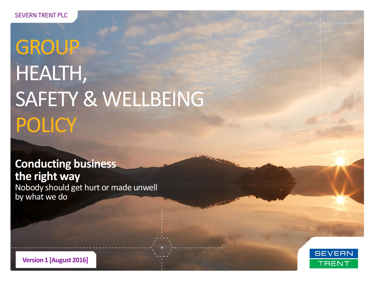# **GROUP** HEALTH, SAFETY & WELLBEING **POLICY**

**Conducting business the right way** Nobody should get hurt or made unwell by what we do



**Version 1 [August 2016]**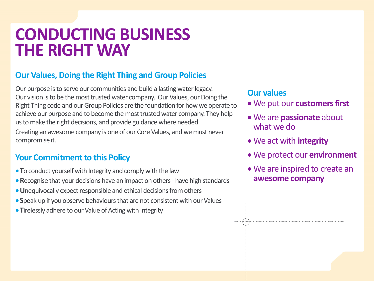## **CONDUCTING BUSINESS THE RIGHT WAY**

#### **Our Values, Doing the Right Thing and Group Policies**

Our purpose is to serve our communities and build a lasting water legacy. Our vision is to be the most trusted water company. Our Values, our Doing the Right Thing code and our Group Policies are the foundation for how we operate to achieve our purpose and to become the most trusted water company. They help us to make the right decisions, and provide guidance where needed.

Creating an awesome company is one of our Core Values, and we must never compromise it.

#### **Your Commitment to this Policy**

- **T**o conduct yourself with Integrity and comply with the law
- **R**ecognise that your decisions have an impact on others have high standards
- **U**nequivocally expect responsible and ethical decisions from others
- **S**peak up if you observe behaviours that are not consistent with our Values
- **Tirelessly adhere to our Value of Acting with Integrity**

#### **Our values**

- We put our **customers first**
- We are **passionate** about what we do
- We act with **integrity**
- We protect our **environment**
- We are inspired to create an **awesome company**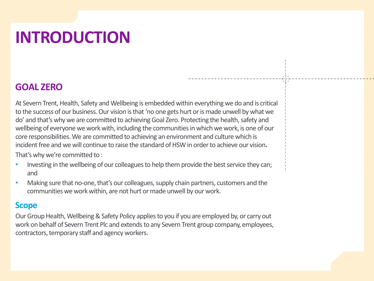# **INTRODUCTION**

#### **GOAL ZERO**

At Severn Trent, Health, Safety and Wellbeing is embedded within everything we do and is critical to the success of our business. Our vision is that 'no one gets hurt or is made unwell by what we do' and that's why we are committed to achieving Goal Zero. Protecting the health, safety and wellbeing of everyone we work with, including the communities in which we work, is one of our core responsibilities. We are committed to achieving an environment and culture which is incident free and we will continue to raise the standard of HSW in order to achieve our vision**.**  That's why we're committed to :

• Investing in the wellbeing of our colleagues to help them provide the best service they can; and

• Making sure that no-one, that's our colleagues, supply chain partners, customers and the communities we work within, are not hurt or made unwell by our work.

#### **Scope**

Our Group Health, Wellbeing & Safety Policy applies to you if you are employed by, or carry out work on behalf of Severn Trent Plc and extends to any Severn Trent group company, employees, contractors, temporary staff and agency workers.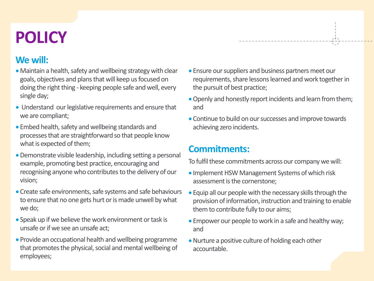## **POLICY**

#### **We will:**

- Maintain a health, safety and wellbeing strategy with clear goals, objectives and plans that will keep us focused on doing the right thing - keeping people safe and well, every single day;
- Understand our legislative requirements and ensure that we are compliant;
- Embed health, safety and wellbeing standards and processes that are straightforward so that people know what is expected of them;
- Demonstrate visible leadership, including setting a personal example, promoting best practice, encouraging and recognising anyone who contributes to the delivery of our vision;
- Create safe environments, safe systems and safe behaviours to ensure that no one gets hurt or is made unwell by what we do;
- Speak up if we believe the work environment or task is unsafe or if we see an unsafe act;
- Provide an occupational health and wellbeing programme that promotes the physical, social and mental wellbeing of employees;

 Ensure our suppliers and business partners meet our requirements, share lessons learned and work together in the pursuit of best practice;

<u>etymore manuscriptus manuscriptus</u>

- Openly and honestly report incidents and learn from them; and
- Continue to build on our successes and improve towards achieving zero incidents.

#### **Commitments:**

To fulfil these commitments across our company we will:

- Implement HSW Management Systems of which risk assessment is the cornerstone;
- Equip all our people with the necessary skills through the provision of information, instruction and training to enable them to contribute fully to our aims;
- Empower our people to work in a safe and healthy way; and
- Nurture a positive culture of holding each other accountable.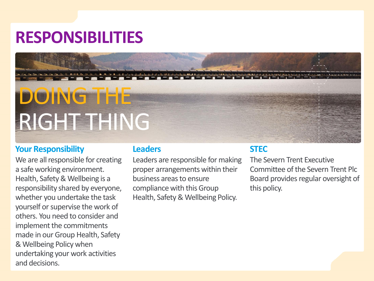## **RESPONSIBILITIES**

# DOING **THE** RIGHT THING

#### **Your Responsibility**

We are all responsible for creating a safe working environment. Health, Safety & Wellbeing is a responsibility shared by everyone, whether you undertake the task yourself or supervise the work of others. You need to consider and implement the commitments made in our Group Health, Safety & Wellbeing Policy when undertaking your work activities and decisions.

#### **Leaders**

Leaders are responsible for making proper arrangements within their business areas to ensure compliance with this Group Health, Safety & Wellbeing Policy.

#### **STEC**

The Severn Trent Executive Committee of the Severn Trent Plc Board provides regular oversight of this policy.